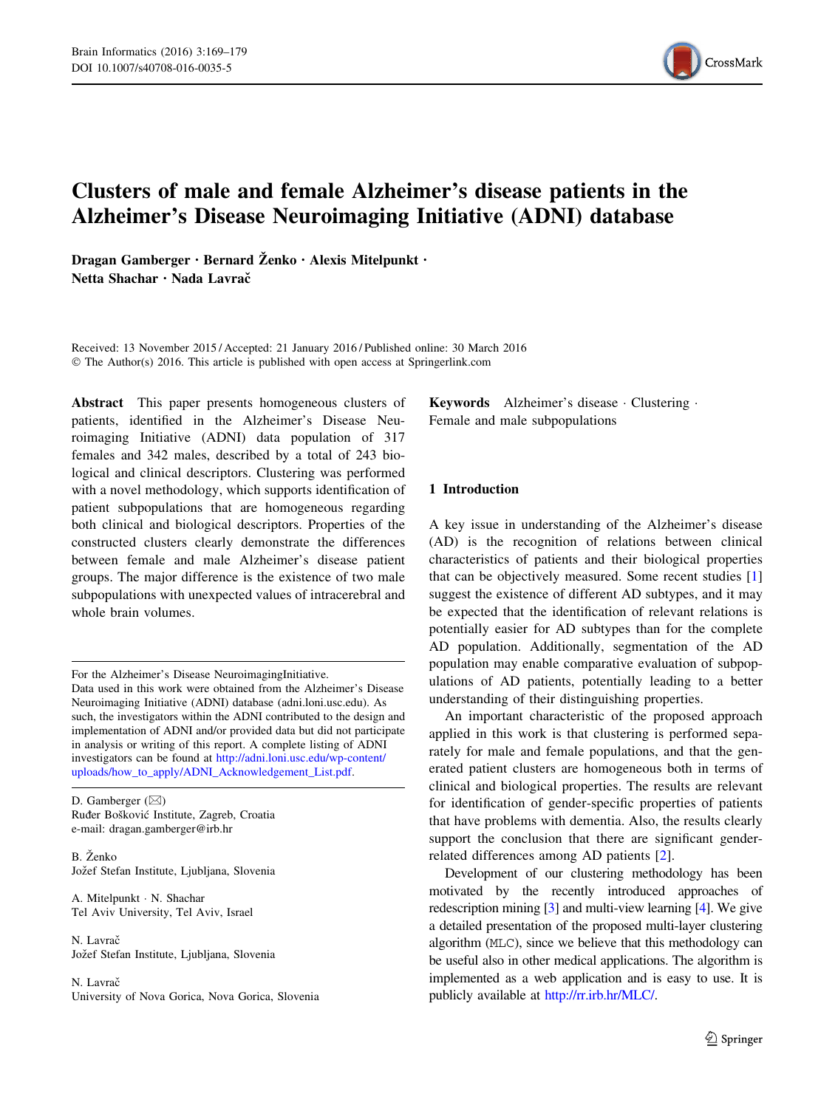

# Clusters of male and female Alzheimer's disease patients in the Alzheimer's Disease Neuroimaging Initiative (ADNI) database

Dragan Gamberger · Bernard Ženko · Alexis Mitelpunkt · Netta Shachar · Nada Lavrač

Received: 13 November 2015 / Accepted: 21 January 2016 / Published online: 30 March 2016 © The Author(s) 2016. This article is published with open access at Springerlink.com

Abstract This paper presents homogeneous clusters of patients, identified in the Alzheimer's Disease Neuroimaging Initiative (ADNI) data population of 317 females and 342 males, described by a total of 243 biological and clinical descriptors. Clustering was performed with a novel methodology, which supports identification of patient subpopulations that are homogeneous regarding both clinical and biological descriptors. Properties of the constructed clusters clearly demonstrate the differences between female and male Alzheimer's disease patient groups. The major difference is the existence of two male subpopulations with unexpected values of intracerebral and whole brain volumes.

For the Alzheimer's Disease NeuroimagingInitiative.

Data used in this work were obtained from the Alzheimer's Disease Neuroimaging Initiative (ADNI) database (adni.loni.usc.edu). As such, the investigators within the ADNI contributed to the design and implementation of ADNI and/or provided data but did not participate in analysis or writing of this report. A complete listing of ADNI investigators can be found at [http://adni.loni.usc.edu/wp-content/](http://adni.loni.usc.edu/wp-content/uploads/how_to_apply/ADNI_Acknowledgement_List.pdf) [uploads/how\\_to\\_apply/ADNI\\_Acknowledgement\\_List.pdf](http://adni.loni.usc.edu/wp-content/uploads/how_to_apply/ADNI_Acknowledgement_List.pdf).

D. Gamberger  $(\boxtimes)$ Ruđer Bošković Institute, Zagreb, Croatia e-mail: dragan.gamberger@irb.hr

B. Ženko Jožef Stefan Institute, Ljubljana, Slovenia

A. Mitelpunkt - N. Shachar Tel Aviv University, Tel Aviv, Israel

N. Lavrač Jožef Stefan Institute, Ljubljana, Slovenia

N. Lavrač University of Nova Gorica, Nova Gorica, Slovenia

Keywords Alzheimer's disease · Clustering · Female and male subpopulations

# 1 Introduction

A key issue in understanding of the Alzheimer's disease (AD) is the recognition of relations between clinical characteristics of patients and their biological properties that can be objectively measured. Some recent studies [[1\]](#page-9-0) suggest the existence of different AD subtypes, and it may be expected that the identification of relevant relations is potentially easier for AD subtypes than for the complete AD population. Additionally, segmentation of the AD population may enable comparative evaluation of subpopulations of AD patients, potentially leading to a better understanding of their distinguishing properties.

An important characteristic of the proposed approach applied in this work is that clustering is performed separately for male and female populations, and that the generated patient clusters are homogeneous both in terms of clinical and biological properties. The results are relevant for identification of gender-specific properties of patients that have problems with dementia. Also, the results clearly support the conclusion that there are significant genderrelated differences among AD patients [[2\]](#page-9-0).

Development of our clustering methodology has been motivated by the recently introduced approaches of redescription mining [\[3\]](#page-9-0) and multi-view learning [\[4\]](#page-9-0). We give a detailed presentation of the proposed multi-layer clustering algorithm (MLC), since we believe that this methodology can be useful also in other medical applications. The algorithm is implemented as a web application and is easy to use. It is publicly available at [http://rr.irb.hr/MLC/.](http://rr.irb.hr/MLC/)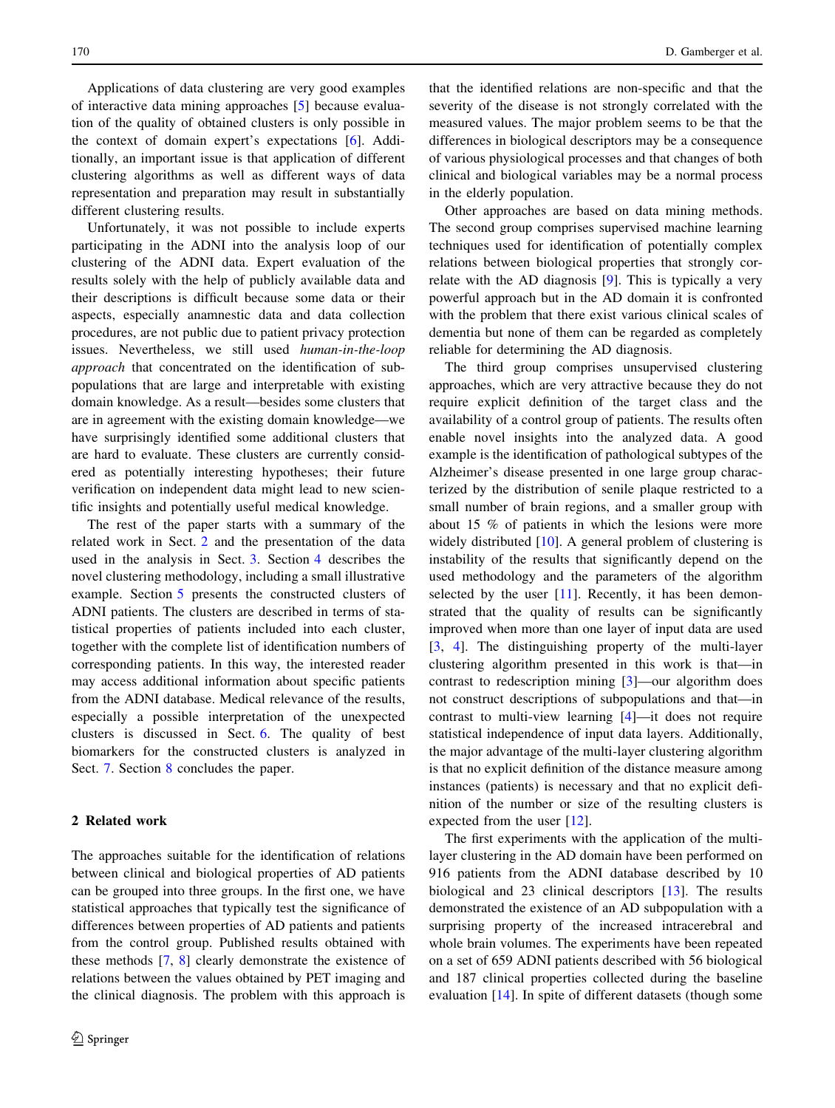Applications of data clustering are very good examples of interactive data mining approaches [[5\]](#page-9-0) because evaluation of the quality of obtained clusters is only possible in the context of domain expert's expectations [[6\]](#page-9-0). Additionally, an important issue is that application of different clustering algorithms as well as different ways of data representation and preparation may result in substantially different clustering results.

Unfortunately, it was not possible to include experts participating in the ADNI into the analysis loop of our clustering of the ADNI data. Expert evaluation of the results solely with the help of publicly available data and their descriptions is difficult because some data or their aspects, especially anamnestic data and data collection procedures, are not public due to patient privacy protection issues. Nevertheless, we still used human-in-the-loop approach that concentrated on the identification of subpopulations that are large and interpretable with existing domain knowledge. As a result—besides some clusters that are in agreement with the existing domain knowledge—we have surprisingly identified some additional clusters that are hard to evaluate. These clusters are currently considered as potentially interesting hypotheses; their future verification on independent data might lead to new scientific insights and potentially useful medical knowledge.

The rest of the paper starts with a summary of the related work in Sect. 2 and the presentation of the data used in the analysis in Sect. [3](#page-2-0). Section [4](#page-2-0) describes the novel clustering methodology, including a small illustrative example. Section [5](#page-5-0) presents the constructed clusters of ADNI patients. The clusters are described in terms of statistical properties of patients included into each cluster, together with the complete list of identification numbers of corresponding patients. In this way, the interested reader may access additional information about specific patients from the ADNI database. Medical relevance of the results, especially a possible interpretation of the unexpected clusters is discussed in Sect. [6.](#page-6-0) The quality of best biomarkers for the constructed clusters is analyzed in Sect. [7](#page-8-0). Section [8](#page-8-0) concludes the paper.

## 2 Related work

The approaches suitable for the identification of relations between clinical and biological properties of AD patients can be grouped into three groups. In the first one, we have statistical approaches that typically test the significance of differences between properties of AD patients and patients from the control group. Published results obtained with these methods [\[7](#page-9-0), [8\]](#page-9-0) clearly demonstrate the existence of relations between the values obtained by PET imaging and the clinical diagnosis. The problem with this approach is

that the identified relations are non-specific and that the severity of the disease is not strongly correlated with the measured values. The major problem seems to be that the differences in biological descriptors may be a consequence of various physiological processes and that changes of both clinical and biological variables may be a normal process in the elderly population.

Other approaches are based on data mining methods. The second group comprises supervised machine learning techniques used for identification of potentially complex relations between biological properties that strongly correlate with the AD diagnosis [[9\]](#page-9-0). This is typically a very powerful approach but in the AD domain it is confronted with the problem that there exist various clinical scales of dementia but none of them can be regarded as completely reliable for determining the AD diagnosis.

The third group comprises unsupervised clustering approaches, which are very attractive because they do not require explicit definition of the target class and the availability of a control group of patients. The results often enable novel insights into the analyzed data. A good example is the identification of pathological subtypes of the Alzheimer's disease presented in one large group characterized by the distribution of senile plaque restricted to a small number of brain regions, and a smaller group with about 15 % of patients in which the lesions were more widely distributed [[10\]](#page-9-0). A general problem of clustering is instability of the results that significantly depend on the used methodology and the parameters of the algorithm selected by the user [[11\]](#page-9-0). Recently, it has been demonstrated that the quality of results can be significantly improved when more than one layer of input data are used [\[3](#page-9-0), [4](#page-9-0)]. The distinguishing property of the multi-layer clustering algorithm presented in this work is that—in contrast to redescription mining [[3\]](#page-9-0)—our algorithm does not construct descriptions of subpopulations and that—in contrast to multi-view learning [[4\]](#page-9-0)—it does not require statistical independence of input data layers. Additionally, the major advantage of the multi-layer clustering algorithm is that no explicit definition of the distance measure among instances (patients) is necessary and that no explicit definition of the number or size of the resulting clusters is expected from the user [[12\]](#page-10-0).

The first experiments with the application of the multilayer clustering in the AD domain have been performed on 916 patients from the ADNI database described by 10 biological and 23 clinical descriptors [[13\]](#page-10-0). The results demonstrated the existence of an AD subpopulation with a surprising property of the increased intracerebral and whole brain volumes. The experiments have been repeated on a set of 659 ADNI patients described with 56 biological and 187 clinical properties collected during the baseline evaluation [\[14](#page-10-0)]. In spite of different datasets (though some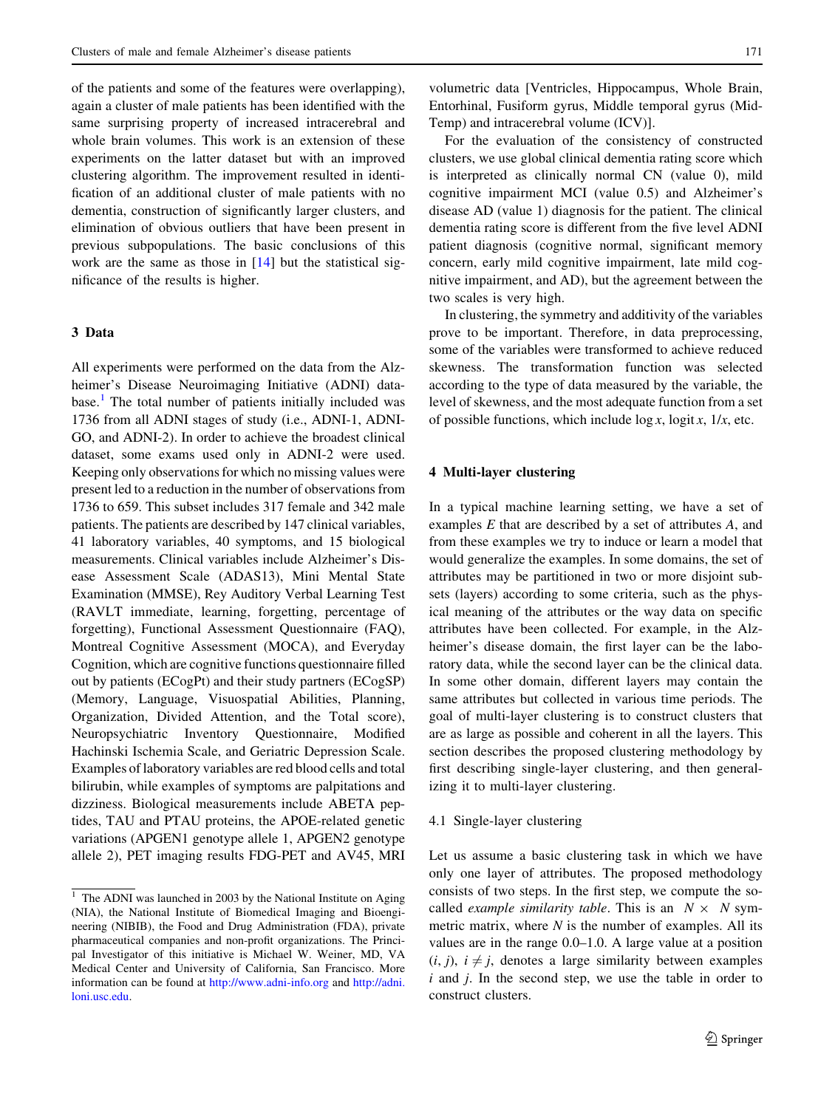<span id="page-2-0"></span>of the patients and some of the features were overlapping), again a cluster of male patients has been identified with the same surprising property of increased intracerebral and whole brain volumes. This work is an extension of these experiments on the latter dataset but with an improved clustering algorithm. The improvement resulted in identification of an additional cluster of male patients with no dementia, construction of significantly larger clusters, and elimination of obvious outliers that have been present in previous subpopulations. The basic conclusions of this work are the same as those in [\[14](#page-10-0)] but the statistical significance of the results is higher.

# 3 Data

All experiments were performed on the data from the Alzheimer's Disease Neuroimaging Initiative (ADNI) database.<sup>1</sup> The total number of patients initially included was 1736 from all ADNI stages of study (i.e., ADNI-1, ADNI-GO, and ADNI-2). In order to achieve the broadest clinical dataset, some exams used only in ADNI-2 were used. Keeping only observations for which no missing values were present led to a reduction in the number of observations from 1736 to 659. This subset includes 317 female and 342 male patients. The patients are described by 147 clinical variables, 41 laboratory variables, 40 symptoms, and 15 biological measurements. Clinical variables include Alzheimer's Disease Assessment Scale (ADAS13), Mini Mental State Examination (MMSE), Rey Auditory Verbal Learning Test (RAVLT immediate, learning, forgetting, percentage of forgetting), Functional Assessment Questionnaire (FAQ), Montreal Cognitive Assessment (MOCA), and Everyday Cognition, which are cognitive functions questionnaire filled out by patients (ECogPt) and their study partners (ECogSP) (Memory, Language, Visuospatial Abilities, Planning, Organization, Divided Attention, and the Total score), Neuropsychiatric Inventory Questionnaire, Modified Hachinski Ischemia Scale, and Geriatric Depression Scale. Examples of laboratory variables are red blood cells and total bilirubin, while examples of symptoms are palpitations and dizziness. Biological measurements include ABETA peptides, TAU and PTAU proteins, the APOE-related genetic variations (APGEN1 genotype allele 1, APGEN2 genotype allele 2), PET imaging results FDG-PET and AV45, MRI

volumetric data [Ventricles, Hippocampus, Whole Brain, Entorhinal, Fusiform gyrus, Middle temporal gyrus (Mid-Temp) and intracerebral volume (ICV)].

For the evaluation of the consistency of constructed clusters, we use global clinical dementia rating score which is interpreted as clinically normal CN (value 0), mild cognitive impairment MCI (value 0.5) and Alzheimer's disease AD (value 1) diagnosis for the patient. The clinical dementia rating score is different from the five level ADNI patient diagnosis (cognitive normal, significant memory concern, early mild cognitive impairment, late mild cognitive impairment, and AD), but the agreement between the two scales is very high.

In clustering, the symmetry and additivity of the variables prove to be important. Therefore, in data preprocessing, some of the variables were transformed to achieve reduced skewness. The transformation function was selected according to the type of data measured by the variable, the level of skewness, and the most adequate function from a set of possible functions, which include  $\log x$ ,  $\log(x, 1/x)$ , etc.

# 4 Multi-layer clustering

In a typical machine learning setting, we have a set of examples E that are described by a set of attributes A, and from these examples we try to induce or learn a model that would generalize the examples. In some domains, the set of attributes may be partitioned in two or more disjoint subsets (layers) according to some criteria, such as the physical meaning of the attributes or the way data on specific attributes have been collected. For example, in the Alzheimer's disease domain, the first layer can be the laboratory data, while the second layer can be the clinical data. In some other domain, different layers may contain the same attributes but collected in various time periods. The goal of multi-layer clustering is to construct clusters that are as large as possible and coherent in all the layers. This section describes the proposed clustering methodology by first describing single-layer clustering, and then generalizing it to multi-layer clustering.

#### 4.1 Single-layer clustering

Let us assume a basic clustering task in which we have only one layer of attributes. The proposed methodology consists of two steps. In the first step, we compute the socalled *example similarity table*. This is an  $N \times N$  symmetric matrix, where  $N$  is the number of examples. All its values are in the range 0.0–1.0. A large value at a position  $(i, j)$ ,  $i \neq j$ , denotes a large similarity between examples  $i$  and  $j$ . In the second step, we use the table in order to construct clusters.

<sup>&</sup>lt;sup>1</sup> The ADNI was launched in 2003 by the National Institute on Aging (NIA), the National Institute of Biomedical Imaging and Bioengineering (NIBIB), the Food and Drug Administration (FDA), private pharmaceutical companies and non-profit organizations. The Principal Investigator of this initiative is Michael W. Weiner, MD, VA Medical Center and University of California, San Francisco. More information can be found at <http://www.adni-info.org> and [http://adni.](http://adni.loni.usc.edu) [loni.usc.edu](http://adni.loni.usc.edu).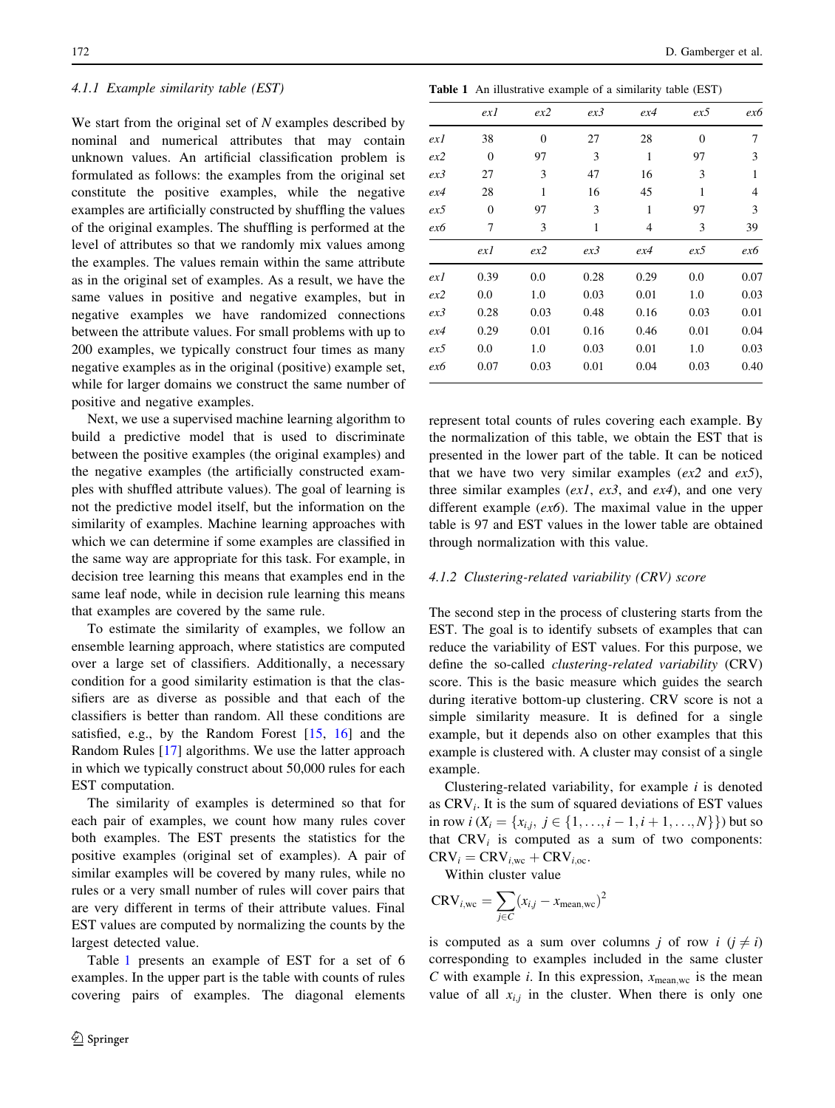#### <span id="page-3-0"></span>4.1.1 Example similarity table (EST)

We start from the original set of  $N$  examples described by nominal and numerical attributes that may contain unknown values. An artificial classification problem is formulated as follows: the examples from the original set constitute the positive examples, while the negative examples are artificially constructed by shuffling the values of the original examples. The shuffling is performed at the level of attributes so that we randomly mix values among the examples. The values remain within the same attribute as in the original set of examples. As a result, we have the same values in positive and negative examples, but in negative examples we have randomized connections between the attribute values. For small problems with up to 200 examples, we typically construct four times as many negative examples as in the original (positive) example set, while for larger domains we construct the same number of positive and negative examples.

Next, we use a supervised machine learning algorithm to build a predictive model that is used to discriminate between the positive examples (the original examples) and the negative examples (the artificially constructed examples with shuffled attribute values). The goal of learning is not the predictive model itself, but the information on the similarity of examples. Machine learning approaches with which we can determine if some examples are classified in the same way are appropriate for this task. For example, in decision tree learning this means that examples end in the same leaf node, while in decision rule learning this means that examples are covered by the same rule.

To estimate the similarity of examples, we follow an ensemble learning approach, where statistics are computed over a large set of classifiers. Additionally, a necessary condition for a good similarity estimation is that the classifiers are as diverse as possible and that each of the classifiers is better than random. All these conditions are satisfied, e.g., by the Random Forest [\[15](#page-10-0), [16](#page-10-0)] and the Random Rules [[17\]](#page-10-0) algorithms. We use the latter approach in which we typically construct about 50,000 rules for each EST computation.

The similarity of examples is determined so that for each pair of examples, we count how many rules cover both examples. The EST presents the statistics for the positive examples (original set of examples). A pair of similar examples will be covered by many rules, while no rules or a very small number of rules will cover pairs that are very different in terms of their attribute values. Final EST values are computed by normalizing the counts by the largest detected value.

Table 1 presents an example of EST for a set of 6 examples. In the upper part is the table with counts of rules covering pairs of examples. The diagonal elements

Table 1 An illustrative example of a similarity table (EST)

|     | ex1            | ex2      | ex3  | ex4          | ex5      | eх6  |
|-----|----------------|----------|------|--------------|----------|------|
| ex1 | 38             | $\theta$ | 27   | 28           | $\Omega$ | 7    |
| ex2 | $\overline{0}$ | 97       | 3    | $\mathbf{1}$ | 97       | 3    |
| ex3 | 27             | 3        | 47   | 16           | 3        | 1    |
| ex4 | 28             | 1        | 16   | 45           | 1        | 4    |
| ex5 | $\overline{0}$ | 97       | 3    | $\mathbf{1}$ | 97       | 3    |
| ехб | 7              | 3        | 1    | 4            | 3        | 39   |
|     | ex1            | ex2      | ex3  | ex4          | ex5      | ехб  |
| ex1 | 0.39           | 0.0      | 0.28 | 0.29         | 0.0      | 0.07 |
| ex2 | 0.0            | 1.0      | 0.03 | 0.01         | 1.0      | 0.03 |
| ex3 | 0.28           | 0.03     | 0.48 | 0.16         | 0.03     | 0.01 |
| ex4 | 0.29           | 0.01     | 0.16 | 0.46         | 0.01     | 0.04 |
| ex5 | 0.0            | 1.0      | 0.03 | 0.01         | 1.0      | 0.03 |
| ехб | 0.07           | 0.03     | 0.01 | 0.04         | 0.03     | 0.40 |

represent total counts of rules covering each example. By the normalization of this table, we obtain the EST that is presented in the lower part of the table. It can be noticed that we have two very similar examples  $(ex2 \text{ and } ex5),$ three similar examples ( $ex1$ ,  $ex3$ , and  $ex4$ ), and one very different example  $(ex6)$ . The maximal value in the upper table is 97 and EST values in the lower table are obtained through normalization with this value.

#### 4.1.2 Clustering-related variability (CRV) score

The second step in the process of clustering starts from the EST. The goal is to identify subsets of examples that can reduce the variability of EST values. For this purpose, we define the so-called clustering-related variability (CRV) score. This is the basic measure which guides the search during iterative bottom-up clustering. CRV score is not a simple similarity measure. It is defined for a single example, but it depends also on other examples that this example is clustered with. A cluster may consist of a single example.

Clustering-related variability, for example  $i$  is denoted as  $CRV_i$ . It is the sum of squared deviations of EST values in row  $i$  ( $X_i = \{x_{i,j}, j \in \{1, \ldots, i-1, i+1, \ldots, N\}\}\)$  but so that  $CRV_i$  is computed as a sum of two components:  $CRV_i = CRV_{i,wc} + CRV_{i,oc}.$ 

Within cluster value

$$
CRV_{i,wc} = \sum_{j \in C} (x_{i,j} - x_{mean,wc})^2
$$

is computed as a sum over columns *j* of row *i*  $(i \neq i)$ corresponding to examples included in the same cluster C with example i. In this expression,  $x_{\text{mean,wc}}$  is the mean value of all  $x_{i,j}$  in the cluster. When there is only one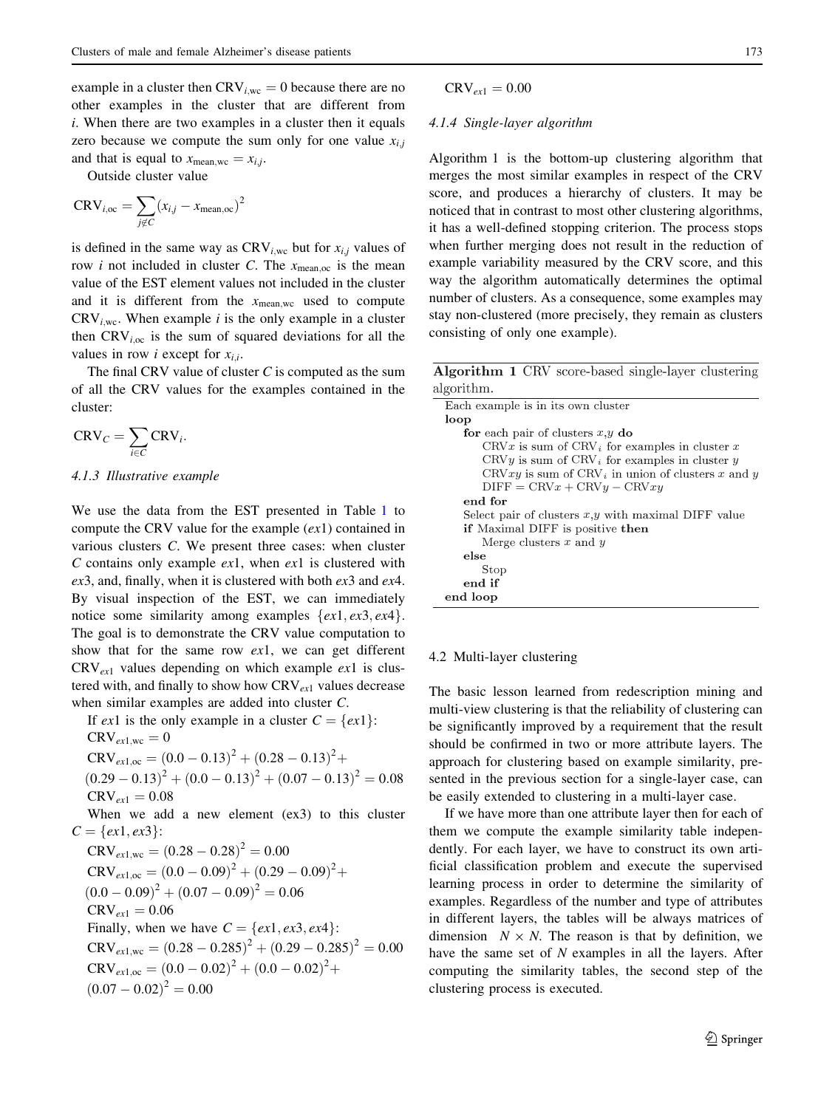example in a cluster then  $CRV_{i,wc} = 0$  because there are no other examples in the cluster that are different from i. When there are two examples in a cluster then it equals zero because we compute the sum only for one value  $x_{i,j}$ and that is equal to  $x_{\text{mean},\text{wc}} = x_{i,j}$ .

Outside cluster value

$$
CRV_{i,oc} = \sum_{j \notin C} (x_{i,j} - x_{mean,oc})^2
$$

is defined in the same way as  $CRV<sub>i,wc</sub>$  but for  $x<sub>i,j</sub>$  values of row *i* not included in cluster C. The  $x_{\text{mean,oc}}$  is the mean value of the EST element values not included in the cluster and it is different from the  $x_{\text{mean},\text{wc}}$  used to compute  $CRV<sub>i,wc</sub>$ . When example *i* is the only example in a cluster then  $CRV<sub>i,oc</sub>$  is the sum of squared deviations for all the values in row *i* except for  $x_{ij}$ .

The final CRV value of cluster  $C$  is computed as the sum of all the CRV values for the examples contained in the cluster:

$$
CRV_C = \sum_{i \in C} CRV_i.
$$

#### 4.1.3 Illustrative example

We use the data from the EST presented in Table [1](#page-3-0) to compute the CRV value for the example (ex1) contained in various clusters C. We present three cases: when cluster  $C$  contains only example  $ex1$ , when  $ex1$  is clustered with  $ex3$ , and, finally, when it is clustered with both  $ex3$  and  $ex4$ . By visual inspection of the EST, we can immediately notice some similarity among examples  $\{ex1, ex3, ex4\}$ . The goal is to demonstrate the CRV value computation to show that for the same row  $ex1$ , we can get different  $CRV<sub>ex1</sub>$  values depending on which example  $ex1$  is clustered with, and finally to show how  $CRV_{ex1}$  values decrease when similar examples are added into cluster C.

If *ex*1 is the only example in a cluster *C* = {*ex*1}:  
CRV<sub>*ex1*,*we*</sub> = 0  
CRV<sub>*ex1*,*oe*</sub> = 
$$
(0.0 - 0.13)^2 + (0.28 - 0.13)^2 +
$$
  
 $(0.29 - 0.13)^2 + (0.0 - 0.13)^2 + (0.07 - 0.13)^2 = 0.08$ 

 $CRV_{ex1} = 0.08$ 

When we add a new element (ex3) to this cluster  $C = \{ex1, ex3\}$ :

 $\text{CRV}_{ex1, \text{wc}} = (0.28 - 0.28)^2 = 0.00$  $\text{CRV}_{ext1, \text{oc}} = (0.0-0.09)^2 + (0.29-0.09)^2 +$  $(0.0 - 0.09)^2 + (0.07 - 0.09)^2 = 0.06$  $CRV_{ex1} = 0.06$ Finally, when we have  $C = \{ex1, ex3, ex4\}$ :  $\text{CRV}_{ex1, \text{wc}} = \left(0.28 - 0.285\right)^2 + \left(0.29 - 0.285\right)^2 = 0.00$  $\text{CRV}_{ex1, \text{oc}} = (0.0 - 0.02)^2 + (0.0 - 0.02)^2 +$  $(0.07 - 0.02)^2 = 0.00$ 

$$
\text{CRV}_{\text{ex}1}=0.00
$$

#### 4.1.4 Single-layer algorithm

Algorithm 1 is the bottom-up clustering algorithm that merges the most similar examples in respect of the CRV score, and produces a hierarchy of clusters. It may be noticed that in contrast to most other clustering algorithms, it has a well-defined stopping criterion. The process stops when further merging does not result in the reduction of example variability measured by the CRV score, and this way the algorithm automatically determines the optimal number of clusters. As a consequence, some examples may stay non-clustered (more precisely, they remain as clusters consisting of only one example).

Algorithm 1 CRV score-based single-layer clustering algorithm. Each example is in its own cluster

| loop                                                           |
|----------------------------------------------------------------|
| for each pair of clusters $x, y$ do                            |
| CRV $x$ is sum of CRV <sub>i</sub> for examples in cluster $x$ |
| CRV $y$ is sum of CRV <sub>i</sub> for examples in cluster $y$ |
| CRVxy is sum of CRV <sub>i</sub> in union of clusters x and y  |
| $DIFF = CRVx + CRVy - CRVxy$                                   |
| end for                                                        |
| Select pair of clusters $x, y$ with maximal DIFF value         |
| <b>if</b> Maximal DIFF is positive then                        |
| Merge clusters $x$ and $y$                                     |
| else                                                           |
| Stop                                                           |
| end if                                                         |
| end loop                                                       |

## 4.2 Multi-layer clustering

The basic lesson learned from redescription mining and multi-view clustering is that the reliability of clustering can be significantly improved by a requirement that the result should be confirmed in two or more attribute layers. The approach for clustering based on example similarity, presented in the previous section for a single-layer case, can be easily extended to clustering in a multi-layer case.

If we have more than one attribute layer then for each of them we compute the example similarity table independently. For each layer, we have to construct its own artificial classification problem and execute the supervised learning process in order to determine the similarity of examples. Regardless of the number and type of attributes in different layers, the tables will be always matrices of dimension  $N \times N$ . The reason is that by definition, we have the same set of N examples in all the layers. After computing the similarity tables, the second step of the clustering process is executed.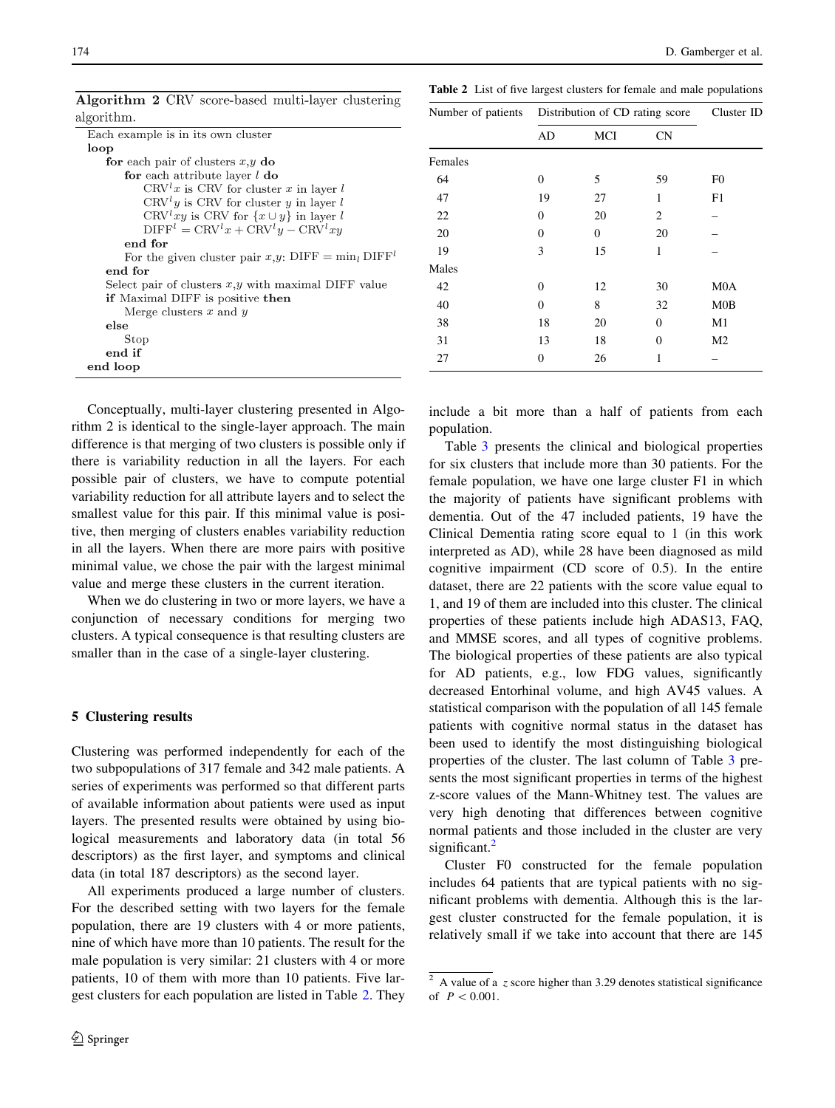| $\arg$ ornini $\bm{z}$ Cnv score-based multi-layer clustering        |
|----------------------------------------------------------------------|
| algorithm.                                                           |
| Each example is in its own cluster                                   |
| loop                                                                 |
| for each pair of clusters $x, y$ do                                  |
| for each attribute layer $l$ do                                      |
| CRV <sup>l</sup> x is CRV for cluster x in layer l                   |
| CRV <sup>l</sup> y is CRV for cluster y in layer l                   |
| CRV <sup>l</sup> xy is CRV for $\{x \cup y\}$ in layer l             |
| $\text{DIFF}^l = \text{CRV}^l x + \text{CRV}^l y - \text{CRV}^l xy$  |
| end for                                                              |
| For the given cluster pair $x,y$ : DIFF = $\min_l$ DIFF <sup>l</sup> |
| end for                                                              |
| Select pair of clusters $x, y$ with maximal DIFF value               |
| <b>if</b> Maximal DIFF is positive then                              |
| Merge clusters x and y                                               |
| else                                                                 |
| Stop                                                                 |
| end if                                                               |
| end loop                                                             |
|                                                                      |

<span id="page-5-0"></span>Algorithm 9 CDV seem board multi layer electering

Conceptually, multi-layer clustering presented in Algorithm 2 is identical to the single-layer approach. The main difference is that merging of two clusters is possible only if there is variability reduction in all the layers. For each possible pair of clusters, we have to compute potential variability reduction for all attribute layers and to select the smallest value for this pair. If this minimal value is positive, then merging of clusters enables variability reduction in all the layers. When there are more pairs with positive minimal value, we chose the pair with the largest minimal value and merge these clusters in the current iteration.

When we do clustering in two or more layers, we have a conjunction of necessary conditions for merging two clusters. A typical consequence is that resulting clusters are smaller than in the case of a single-layer clustering.

# 5 Clustering results

Clustering was performed independently for each of the two subpopulations of 317 female and 342 male patients. A series of experiments was performed so that different parts of available information about patients were used as input layers. The presented results were obtained by using biological measurements and laboratory data (in total 56 descriptors) as the first layer, and symptoms and clinical data (in total 187 descriptors) as the second layer.

All experiments produced a large number of clusters. For the described setting with two layers for the female population, there are 19 clusters with 4 or more patients, nine of which have more than 10 patients. The result for the male population is very similar: 21 clusters with 4 or more patients, 10 of them with more than 10 patients. Five largest clusters for each population are listed in Table 2. They

| Number of patients | Distribution of CD rating score | Cluster ID |           |                  |  |
|--------------------|---------------------------------|------------|-----------|------------------|--|
|                    | AD                              | MCI        | <b>CN</b> |                  |  |
| Females            |                                 |            |           |                  |  |
| 64                 | $\Omega$                        | 5          | 59        | F <sub>0</sub>   |  |
| 47                 | 19                              | 27         | 1         | F1               |  |
| 22                 | $\Omega$                        | 20         | 2         |                  |  |
| 20                 | $\Omega$                        | $\theta$   | 20        |                  |  |
| 19                 | 3                               | 15         | 1         |                  |  |
| Males              |                                 |            |           |                  |  |
| 42                 | $\Omega$                        | 12         | 30        | M <sub>0</sub> A |  |
| 40                 | $\theta$                        | 8          | 32        | M <sub>0</sub> B |  |
| 38                 | 18                              | 20         | $\Omega$  | M1               |  |
| 31                 | 13                              | 18         | 0         | M <sub>2</sub>   |  |

Table 2 List of five largest clusters for female and male populations

include a bit more than a half of patients from each population.

27 0 26 1 –

Table [3](#page-6-0) presents the clinical and biological properties for six clusters that include more than 30 patients. For the female population, we have one large cluster F1 in which the majority of patients have significant problems with dementia. Out of the 47 included patients, 19 have the Clinical Dementia rating score equal to 1 (in this work interpreted as AD), while 28 have been diagnosed as mild cognitive impairment (CD score of 0.5). In the entire dataset, there are 22 patients with the score value equal to 1, and 19 of them are included into this cluster. The clinical properties of these patients include high ADAS13, FAQ, and MMSE scores, and all types of cognitive problems. The biological properties of these patients are also typical for AD patients, e.g., low FDG values, significantly decreased Entorhinal volume, and high AV45 values. A statistical comparison with the population of all 145 female patients with cognitive normal status in the dataset has been used to identify the most distinguishing biological properties of the cluster. The last column of Table [3](#page-6-0) presents the most significant properties in terms of the highest z-score values of the Mann-Whitney test. The values are very high denoting that differences between cognitive normal patients and those included in the cluster are very significant. $^{2}$ 

Cluster F0 constructed for the female population includes 64 patients that are typical patients with no significant problems with dementia. Although this is the largest cluster constructed for the female population, it is relatively small if we take into account that there are 145

<sup>&</sup>lt;sup>2</sup> A value of a z score higher than 3.29 denotes statistical significance of  $P < 0.001$ .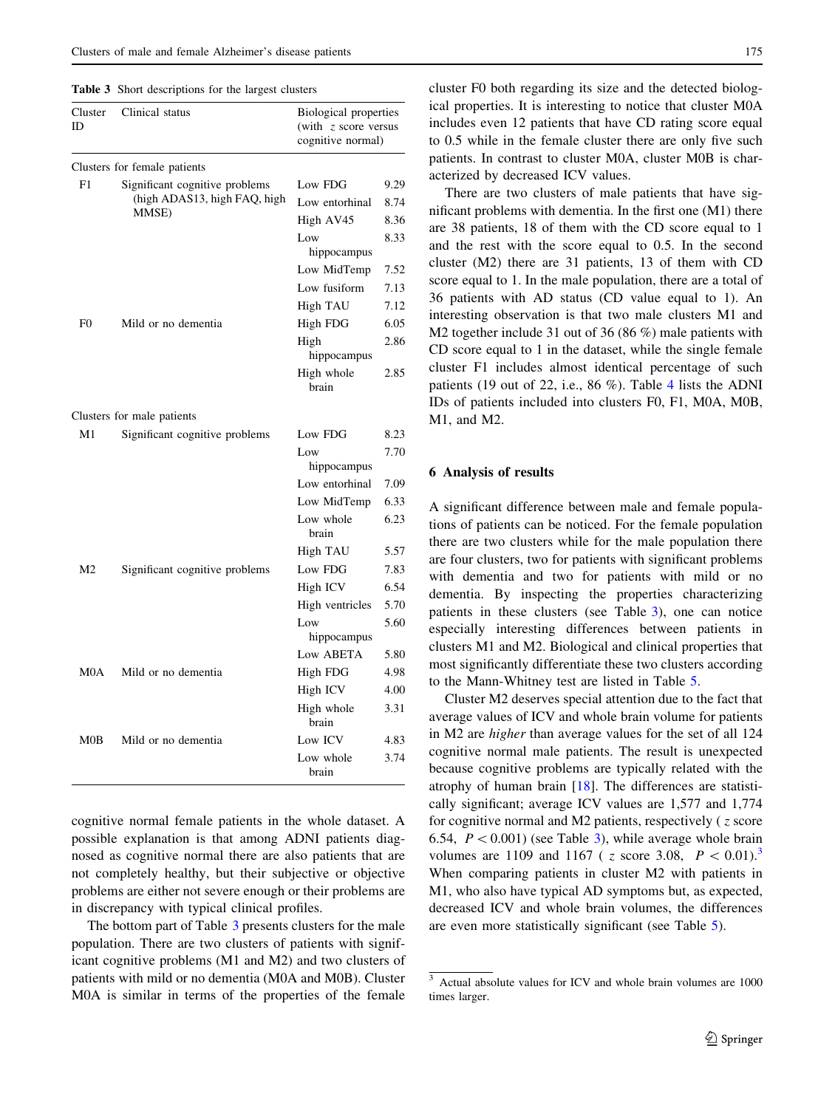<span id="page-6-0"></span>Table 3 Short descriptions for the largest clusters

| Cluster<br>ID    | Clinical status                | Biological properties<br>(with $z$ score versus<br>cognitive normal) |      |  |
|------------------|--------------------------------|----------------------------------------------------------------------|------|--|
|                  | Clusters for female patients   |                                                                      |      |  |
| F1               | Significant cognitive problems | Low FDG                                                              | 9.29 |  |
|                  | (high ADAS13, high FAQ, high   | Low entorhinal                                                       | 8.74 |  |
|                  | MMSE)                          | High AV45                                                            | 8.36 |  |
|                  |                                | Low<br>hippocampus                                                   | 8.33 |  |
|                  |                                | Low MidTemp                                                          | 7.52 |  |
|                  |                                | Low fusiform                                                         | 7.13 |  |
|                  |                                | High TAU                                                             | 7.12 |  |
| F <sub>0</sub>   | Mild or no dementia            | High FDG                                                             | 6.05 |  |
|                  |                                | High<br>hippocampus                                                  | 2.86 |  |
|                  |                                | High whole<br>brain                                                  | 2.85 |  |
|                  | Clusters for male patients     |                                                                      |      |  |
| M1               | Significant cognitive problems | Low FDG                                                              | 8.23 |  |
|                  |                                | Low<br>hippocampus                                                   | 7.70 |  |
|                  |                                | Low entorhinal                                                       | 7.09 |  |
|                  |                                | Low MidTemp                                                          | 6.33 |  |
|                  |                                | Low whole<br>brain                                                   | 6.23 |  |
|                  |                                | High TAU                                                             | 5.57 |  |
| M <sub>2</sub>   | Significant cognitive problems | Low FDG                                                              | 7.83 |  |
|                  |                                | High ICV                                                             | 6.54 |  |
|                  |                                | High ventricles                                                      | 5.70 |  |
|                  |                                | Low<br>hippocampus                                                   | 5.60 |  |
|                  |                                | Low ABETA                                                            | 5.80 |  |
| M <sub>0</sub> A | Mild or no dementia            | High FDG                                                             | 4.98 |  |
|                  |                                | High ICV                                                             | 4.00 |  |
|                  |                                | High whole<br>brain                                                  | 3.31 |  |
| M0B              | Mild or no dementia            | Low ICV                                                              | 4.83 |  |
|                  |                                | Low whole<br>brain                                                   | 3.74 |  |

cognitive normal female patients in the whole dataset. A possible explanation is that among ADNI patients diagnosed as cognitive normal there are also patients that are not completely healthy, but their subjective or objective problems are either not severe enough or their problems are in discrepancy with typical clinical profiles.

The bottom part of Table 3 presents clusters for the male population. There are two clusters of patients with significant cognitive problems (M1 and M2) and two clusters of patients with mild or no dementia (M0A and M0B). Cluster M0A is similar in terms of the properties of the female cluster F0 both regarding its size and the detected biological properties. It is interesting to notice that cluster M0A includes even 12 patients that have CD rating score equal to 0.5 while in the female cluster there are only five such patients. In contrast to cluster M0A, cluster M0B is characterized by decreased ICV values.

There are two clusters of male patients that have significant problems with dementia. In the first one (M1) there are 38 patients, 18 of them with the CD score equal to 1 and the rest with the score equal to 0.5. In the second cluster (M2) there are 31 patients, 13 of them with CD score equal to 1. In the male population, there are a total of 36 patients with AD status (CD value equal to 1). An interesting observation is that two male clusters M1 and M2 together include 31 out of 36 (86 %) male patients with CD score equal to 1 in the dataset, while the single female cluster F1 includes almost identical percentage of such patients (19 out of 22, i.e., 86 %). Table [4](#page-7-0) lists the ADNI IDs of patients included into clusters F0, F1, M0A, M0B, M1, and M2.

## 6 Analysis of results

A significant difference between male and female populations of patients can be noticed. For the female population there are two clusters while for the male population there are four clusters, two for patients with significant problems with dementia and two for patients with mild or no dementia. By inspecting the properties characterizing patients in these clusters (see Table 3), one can notice especially interesting differences between patients in clusters M1 and M2. Biological and clinical properties that most significantly differentiate these two clusters according to the Mann-Whitney test are listed in Table [5](#page-8-0).

Cluster M2 deserves special attention due to the fact that average values of ICV and whole brain volume for patients in M2 are higher than average values for the set of all 124 cognitive normal male patients. The result is unexpected because cognitive problems are typically related with the atrophy of human brain [\[18](#page-10-0)]. The differences are statistically significant; average ICV values are 1,577 and 1,774 for cognitive normal and M2 patients, respectively ( z score 6.54,  $P < 0.001$ ) (see Table 3), while average whole brain volumes are 1109 and 1167 ( z score 3.08,  $P < 0.01$ ).<sup>3</sup> When comparing patients in cluster M2 with patients in M1, who also have typical AD symptoms but, as expected, decreased ICV and whole brain volumes, the differences are even more statistically significant (see Table [5\)](#page-8-0).

<sup>3</sup> Actual absolute values for ICV and whole brain volumes are 1000 times larger.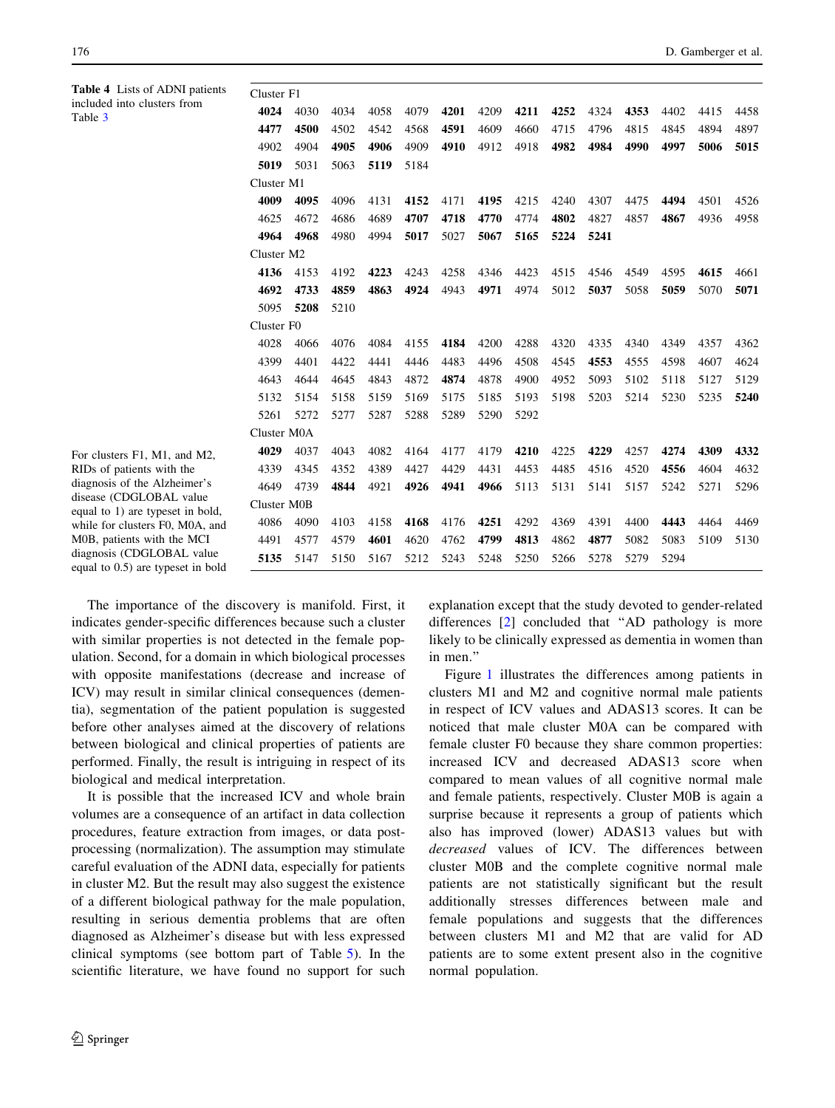<span id="page-7-0"></span>Table 4 Lists of ADNI patients included into clusters fr Table [3](#page-6-0)

| patients                    | Cluster F1             |      |                                                                                                                                                                                                                                                              |      |      |      |      |      |      |      |      |      |      |      |
|-----------------------------|------------------------|------|--------------------------------------------------------------------------------------------------------------------------------------------------------------------------------------------------------------------------------------------------------------|------|------|------|------|------|------|------|------|------|------|------|
| om                          | 4024                   | 4030 | 4034                                                                                                                                                                                                                                                         | 4058 | 4079 | 4201 | 4209 | 4211 | 4252 | 4324 | 4353 | 4402 | 4415 | 4458 |
|                             | 4477                   | 4500 | 4502                                                                                                                                                                                                                                                         | 4542 | 4568 | 4591 | 4609 | 4660 | 4715 | 4796 | 4815 | 4845 | 4894 | 4897 |
|                             | 4902                   | 4904 | 4905                                                                                                                                                                                                                                                         | 4906 | 4909 | 4910 | 4912 | 4918 | 4982 | 4984 | 4990 | 4997 | 5006 | 5015 |
|                             | 5019                   | 5031 | 5063                                                                                                                                                                                                                                                         | 5119 | 5184 |      |      |      |      |      |      |      |      |      |
|                             | Cluster M1             |      |                                                                                                                                                                                                                                                              |      |      |      |      |      |      |      |      |      |      |      |
|                             | 4009                   | 4095 | 4096                                                                                                                                                                                                                                                         | 4131 | 4152 | 4171 | 4195 | 4215 | 4240 | 4307 | 4475 | 4494 | 4501 | 4526 |
|                             | 4625                   | 4672 | 4686                                                                                                                                                                                                                                                         | 4689 | 4707 | 4718 | 4770 | 4774 | 4802 | 4827 | 4857 | 4867 | 4936 | 4958 |
|                             | 4964                   | 4968 | 4980                                                                                                                                                                                                                                                         | 4994 | 5017 | 5027 | 5067 | 5165 | 5224 | 5241 |      |      |      |      |
|                             | Cluster M2             |      |                                                                                                                                                                                                                                                              |      |      |      |      |      |      |      |      |      |      |      |
|                             | 4136                   | 4153 | 4192                                                                                                                                                                                                                                                         | 4223 | 4243 | 4258 | 4346 | 4423 | 4515 | 4546 | 4549 | 4595 | 4615 | 4661 |
|                             | 4692                   | 4733 | 4859                                                                                                                                                                                                                                                         | 4863 | 4924 | 4943 | 4971 | 4974 | 5012 | 5037 | 5058 | 5059 | 5070 | 5071 |
|                             | 5095                   | 5208 | 5210                                                                                                                                                                                                                                                         |      |      |      |      |      |      |      |      |      |      |      |
|                             | Cluster F <sub>0</sub> |      | 4184<br>4200<br>4288<br>4076<br>4084<br>4155<br>4320<br>4335<br>4422<br>4441<br>4446<br>4483<br>4496<br>4508<br>4545<br>4553<br>4872<br>4874<br>4645<br>4843<br>4878<br>4900<br>4952<br>5093<br>5158<br>5159<br>5169<br>5175<br>5185<br>5193<br>5198<br>5203 |      |      |      |      |      |      |      |      |      |      |      |
|                             | 4028                   | 4066 |                                                                                                                                                                                                                                                              |      |      |      |      |      |      |      | 4340 | 4349 | 4357 | 4362 |
|                             | 4399                   | 4401 |                                                                                                                                                                                                                                                              |      |      |      |      |      |      |      | 4555 | 4598 | 4607 | 4624 |
|                             | 4643                   | 4644 |                                                                                                                                                                                                                                                              |      |      |      |      |      |      |      | 5102 | 5118 | 5127 | 5129 |
|                             | 5132                   | 5154 |                                                                                                                                                                                                                                                              |      |      |      |      |      |      |      | 5214 | 5230 | 5235 | 5240 |
|                             | 5261                   | 5272 | 5277                                                                                                                                                                                                                                                         | 5287 | 5288 | 5289 | 5290 | 5292 |      |      |      |      |      |      |
|                             | Cluster M0A            |      |                                                                                                                                                                                                                                                              |      |      |      |      |      |      |      |      |      |      |      |
| d M2,                       | 4029                   | 4037 | 4043                                                                                                                                                                                                                                                         | 4082 | 4164 | 4177 | 4179 | 4210 | 4225 | 4229 | 4257 | 4274 | 4309 | 4332 |
| ie                          | 4339                   | 4345 | 4352                                                                                                                                                                                                                                                         | 4389 | 4427 | 4429 | 4431 | 4453 | 4485 | 4516 | 4520 | 4556 | 4604 | 4632 |
| ner's<br>alue               | 4649                   | 4739 | 4844                                                                                                                                                                                                                                                         | 4921 | 4926 | 4941 | 4966 | 5113 | 5131 | 5141 | 5157 | 5242 | 5271 | 5296 |
| n bold,                     | <b>Cluster M0B</b>     |      |                                                                                                                                                                                                                                                              |      |      |      |      |      |      |      |      |      |      |      |
| 0A, and                     | 4086                   | 4090 | 4103                                                                                                                                                                                                                                                         | 4158 | 4168 | 4176 | 4251 | 4292 | 4369 | 4391 | 4400 | 4443 | 4464 | 4469 |
| MCI                         | 4491                   | 4577 | 4579                                                                                                                                                                                                                                                         | 4601 | 4620 | 4762 | 4799 | 4813 | 4862 | 4877 | 5082 | 5083 | 5109 | 5130 |
| . value<br>المالحية المنقاة | 5135                   | 5147 | 5150                                                                                                                                                                                                                                                         | 5167 | 5212 | 5243 | 5248 | 5250 | 5266 | 5278 | 5279 | 5294 |      |      |

RIDs of patients with the diagnosis of the Alzhein disease (CDGLOBAL v equal to  $1$ ) are typeset in while for clusters F0, M M0B, patients with the diagnosis (CDGLOBAL equal to 0.5) are typeset in bold

For clusters F1, M1, and

The importance of the discovery is manifold. First, it indicates gender-specific differences because such a cluster with similar properties is not detected in the female population. Second, for a domain in which biological processes with opposite manifestations (decrease and increase of ICV) may result in similar clinical consequences (dementia), segmentation of the patient population is suggested before other analyses aimed at the discovery of relations between biological and clinical properties of patients are performed. Finally, the result is intriguing in respect of its biological and medical interpretation.

It is possible that the increased ICV and whole brain volumes are a consequence of an artifact in data collection procedures, feature extraction from images, or data postprocessing (normalization). The assumption may stimulate careful evaluation of the ADNI data, especially for patients in cluster M2. But the result may also suggest the existence of a different biological pathway for the male population, resulting in serious dementia problems that are often diagnosed as Alzheimer's disease but with less expressed clinical symptoms (see bottom part of Table [5](#page-8-0)). In the scientific literature, we have found no support for such explanation except that the study devoted to gender-related differences [\[2](#page-9-0)] concluded that ''AD pathology is more likely to be clinically expressed as dementia in women than in men.''

Figure [1](#page-8-0) illustrates the differences among patients in clusters M1 and M2 and cognitive normal male patients in respect of ICV values and ADAS13 scores. It can be noticed that male cluster M0A can be compared with female cluster F0 because they share common properties: increased ICV and decreased ADAS13 score when compared to mean values of all cognitive normal male and female patients, respectively. Cluster M0B is again a surprise because it represents a group of patients which also has improved (lower) ADAS13 values but with decreased values of ICV. The differences between cluster M0B and the complete cognitive normal male patients are not statistically significant but the result additionally stresses differences between male and female populations and suggests that the differences between clusters M1 and M2 that are valid for AD patients are to some extent present also in the cognitive normal population.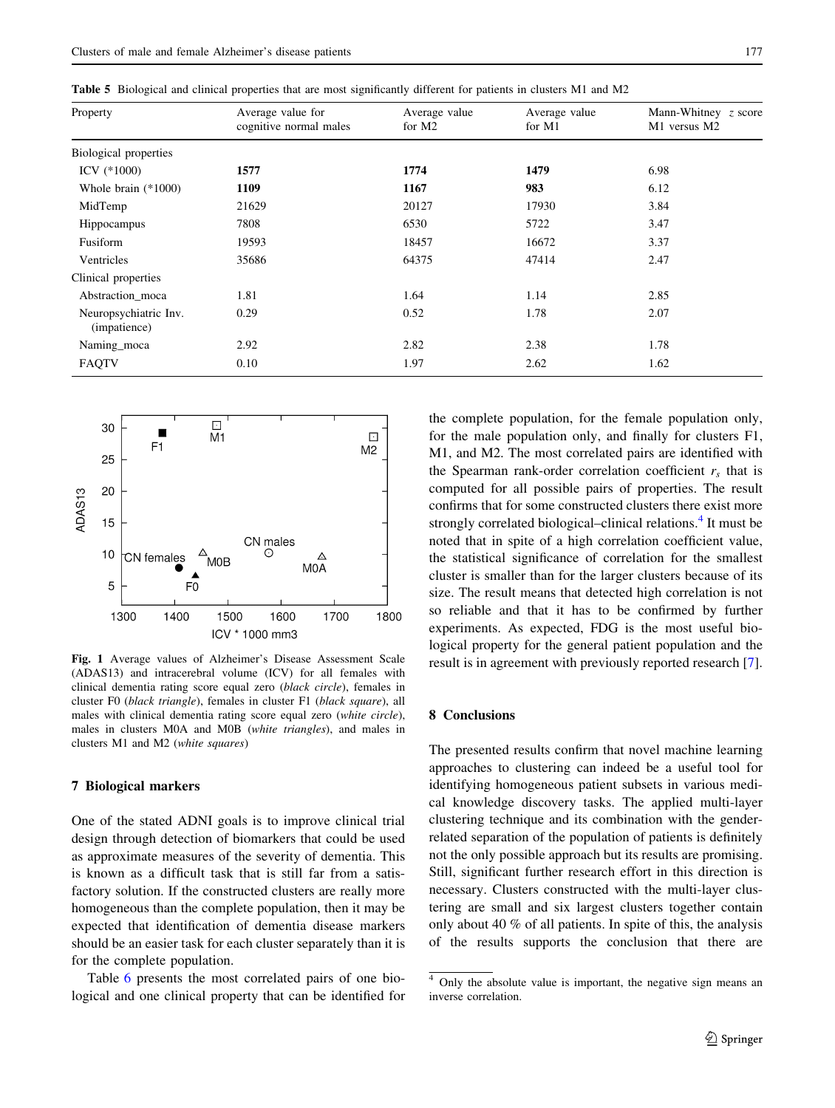| Property                              | Average value for<br>cognitive normal males | Average value<br>for M <sub>2</sub> | Average value<br>for M1 | Mann-Whitney $\zeta$ score<br>M1 versus M2 |
|---------------------------------------|---------------------------------------------|-------------------------------------|-------------------------|--------------------------------------------|
| <b>Biological properties</b>          |                                             |                                     |                         |                                            |
| ICV $(*1000)$                         | 1577                                        | 1774                                | 1479                    | 6.98                                       |
| Whole brain $(*1000)$                 | 1109                                        | 1167                                | 983                     | 6.12                                       |
| MidTemp                               | 21629                                       | 20127                               | 17930                   | 3.84                                       |
| Hippocampus                           | 7808                                        | 6530                                | 5722                    | 3.47                                       |
| Fusiform                              | 19593                                       | 18457                               | 16672                   | 3.37                                       |
| Ventricles                            | 35686                                       | 64375                               | 47414                   | 2.47                                       |
| Clinical properties                   |                                             |                                     |                         |                                            |
| Abstraction moca                      | 1.81                                        | 1.64                                | 1.14                    | 2.85                                       |
| Neuropsychiatric Inv.<br>(impatience) | 0.29                                        | 0.52                                | 1.78                    | 2.07                                       |
| Naming_moca                           | 2.92                                        | 2.82                                | 2.38                    | 1.78                                       |
| <b>FAQTV</b>                          | 0.10                                        | 1.97                                | 2.62                    | 1.62                                       |
|                                       |                                             |                                     |                         |                                            |

<span id="page-8-0"></span>Table 5 Biological and clinical properties that are most significantly different for patients in clusters M1 and M2



Fig. 1 Average values of Alzheimer's Disease Assessment Scale (ADAS13) and intracerebral volume (ICV) for all females with clinical dementia rating score equal zero (black circle), females in cluster F0 (black triangle), females in cluster F1 (black square), all males with clinical dementia rating score equal zero (white circle), males in clusters M0A and M0B (white triangles), and males in clusters M1 and M2 (white squares)

## 7 Biological markers

One of the stated ADNI goals is to improve clinical trial design through detection of biomarkers that could be used as approximate measures of the severity of dementia. This is known as a difficult task that is still far from a satisfactory solution. If the constructed clusters are really more homogeneous than the complete population, then it may be expected that identification of dementia disease markers should be an easier task for each cluster separately than it is for the complete population.

Table [6](#page-9-0) presents the most correlated pairs of one biological and one clinical property that can be identified for the complete population, for the female population only, for the male population only, and finally for clusters F1, M1, and M2. The most correlated pairs are identified with the Spearman rank-order correlation coefficient  $r<sub>s</sub>$  that is computed for all possible pairs of properties. The result confirms that for some constructed clusters there exist more strongly correlated biological–clinical relations.<sup>4</sup> It must be noted that in spite of a high correlation coefficient value, the statistical significance of correlation for the smallest cluster is smaller than for the larger clusters because of its size. The result means that detected high correlation is not so reliable and that it has to be confirmed by further experiments. As expected, FDG is the most useful biological property for the general patient population and the result is in agreement with previously reported research [\[7](#page-9-0)].

#### 8 Conclusions

The presented results confirm that novel machine learning approaches to clustering can indeed be a useful tool for identifying homogeneous patient subsets in various medical knowledge discovery tasks. The applied multi-layer clustering technique and its combination with the genderrelated separation of the population of patients is definitely not the only possible approach but its results are promising. Still, significant further research effort in this direction is necessary. Clusters constructed with the multi-layer clustering are small and six largest clusters together contain only about 40 % of all patients. In spite of this, the analysis of the results supports the conclusion that there are

<sup>4</sup> Only the absolute value is important, the negative sign means an inverse correlation.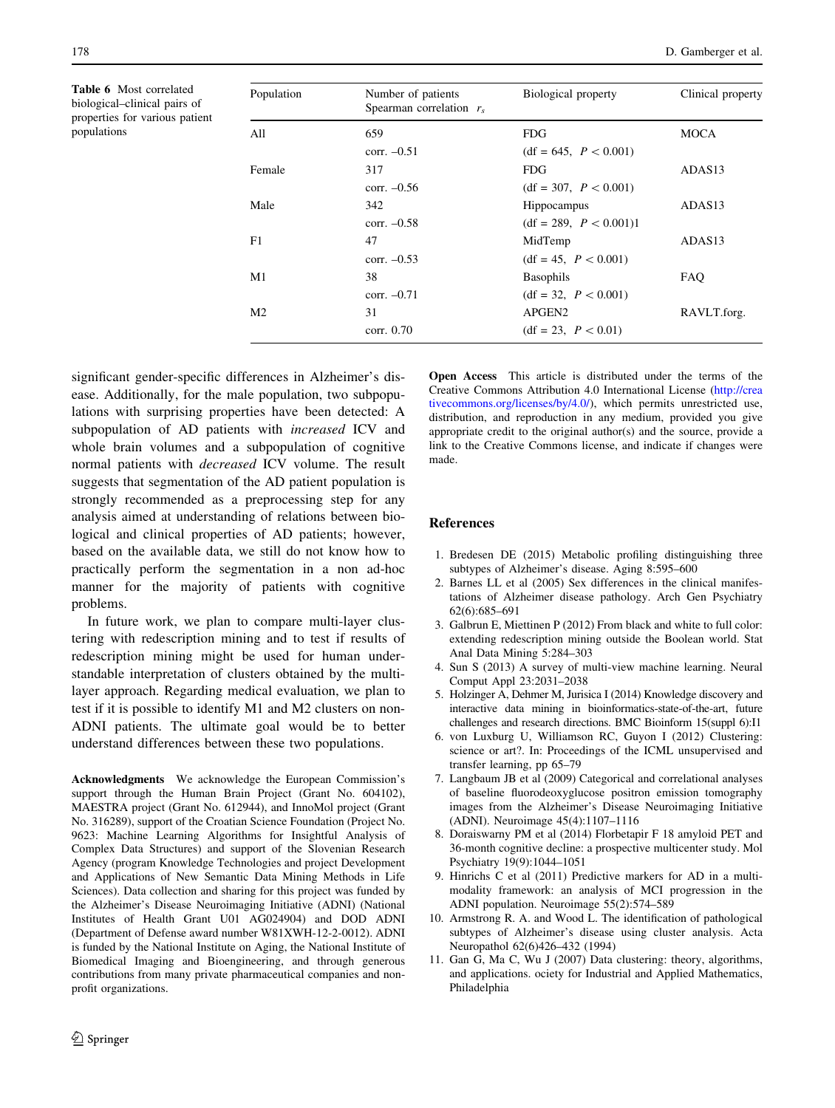<span id="page-9-0"></span>Table 6 Most correlated biological–clinical pairs of properties for various patient populations

| Population | Number of patients<br>Spearman correlation $r_s$ | Biological property      | Clinical property  |  |
|------------|--------------------------------------------------|--------------------------|--------------------|--|
| All        | 659                                              | <b>FDG</b>               | <b>MOCA</b>        |  |
|            | corr. $-0.51$                                    | $(df = 645, P < 0.001)$  |                    |  |
| Female     | 317                                              | <b>FDG</b>               | ADAS <sub>13</sub> |  |
|            | corr. $-0.56$                                    | $(df = 307, P < 0.001)$  |                    |  |
| Male       | 342                                              | <b>Hippocampus</b>       | ADAS13             |  |
|            | corr. $-0.58$                                    | $(df = 289, P < 0.001)1$ |                    |  |
| F1         | 47                                               | MidTemp                  | ADAS13             |  |
|            | corr. $-0.53$                                    | $(df = 45, P < 0.001)$   |                    |  |
| M1         | 38                                               | <b>Basophils</b>         | FAO.               |  |
|            | corr. $-0.71$                                    | $(df = 32, P < 0.001)$   |                    |  |
| Μ2         | 31                                               | APGEN2                   | RAVLT.forg.        |  |
|            | corr. $0.70$                                     | $(df = 23, P < 0.01)$    |                    |  |
|            |                                                  |                          |                    |  |

significant gender-specific differences in Alzheimer's disease. Additionally, for the male population, two subpopulations with surprising properties have been detected: A subpopulation of AD patients with increased ICV and whole brain volumes and a subpopulation of cognitive normal patients with decreased ICV volume. The result suggests that segmentation of the AD patient population is strongly recommended as a preprocessing step for any analysis aimed at understanding of relations between biological and clinical properties of AD patients; however, based on the available data, we still do not know how to practically perform the segmentation in a non ad-hoc manner for the majority of patients with cognitive problems.

In future work, we plan to compare multi-layer clustering with redescription mining and to test if results of redescription mining might be used for human understandable interpretation of clusters obtained by the multilayer approach. Regarding medical evaluation, we plan to test if it is possible to identify M1 and M2 clusters on non-ADNI patients. The ultimate goal would be to better understand differences between these two populations.

Acknowledgments We acknowledge the European Commission's support through the Human Brain Project (Grant No. 604102), MAESTRA project (Grant No. 612944), and InnoMol project (Grant No. 316289), support of the Croatian Science Foundation (Project No. 9623: Machine Learning Algorithms for Insightful Analysis of Complex Data Structures) and support of the Slovenian Research Agency (program Knowledge Technologies and project Development and Applications of New Semantic Data Mining Methods in Life Sciences). Data collection and sharing for this project was funded by the Alzheimer's Disease Neuroimaging Initiative (ADNI) (National Institutes of Health Grant U01 AG024904) and DOD ADNI (Department of Defense award number W81XWH-12-2-0012). ADNI is funded by the National Institute on Aging, the National Institute of Biomedical Imaging and Bioengineering, and through generous contributions from many private pharmaceutical companies and nonprofit organizations.

Open Access This article is distributed under the terms of the Creative Commons Attribution 4.0 International License ([http://crea](http://creativecommons.org/licenses/by/4.0/) [tivecommons.org/licenses/by/4.0/\)](http://creativecommons.org/licenses/by/4.0/), which permits unrestricted use, distribution, and reproduction in any medium, provided you give appropriate credit to the original author(s) and the source, provide a link to the Creative Commons license, and indicate if changes were made.

#### References

- 1. Bredesen DE (2015) Metabolic profiling distinguishing three subtypes of Alzheimer's disease. Aging 8:595–600
- 2. Barnes LL et al (2005) Sex differences in the clinical manifestations of Alzheimer disease pathology. Arch Gen Psychiatry 62(6):685–691
- 3. Galbrun E, Miettinen P (2012) From black and white to full color: extending redescription mining outside the Boolean world. Stat Anal Data Mining 5:284–303
- 4. Sun S (2013) A survey of multi-view machine learning. Neural Comput Appl 23:2031–2038
- 5. Holzinger A, Dehmer M, Jurisica I (2014) Knowledge discovery and interactive data mining in bioinformatics-state-of-the-art, future challenges and research directions. BMC Bioinform 15(suppl 6):I1
- 6. von Luxburg U, Williamson RC, Guyon I (2012) Clustering: science or art?. In: Proceedings of the ICML unsupervised and transfer learning, pp 65–79
- 7. Langbaum JB et al (2009) Categorical and correlational analyses of baseline fluorodeoxyglucose positron emission tomography images from the Alzheimer's Disease Neuroimaging Initiative (ADNI). Neuroimage 45(4):1107–1116
- 8. Doraiswarny PM et al (2014) Florbetapir F 18 amyloid PET and 36-month cognitive decline: a prospective multicenter study. Mol Psychiatry 19(9):1044–1051
- 9. Hinrichs C et al (2011) Predictive markers for AD in a multimodality framework: an analysis of MCI progression in the ADNI population. Neuroimage 55(2):574–589
- 10. Armstrong R. A. and Wood L. The identification of pathological subtypes of Alzheimer's disease using cluster analysis. Acta Neuropathol 62(6)426–432 (1994)
- 11. Gan G, Ma C, Wu J (2007) Data clustering: theory, algorithms, and applications. ociety for Industrial and Applied Mathematics, Philadelphia